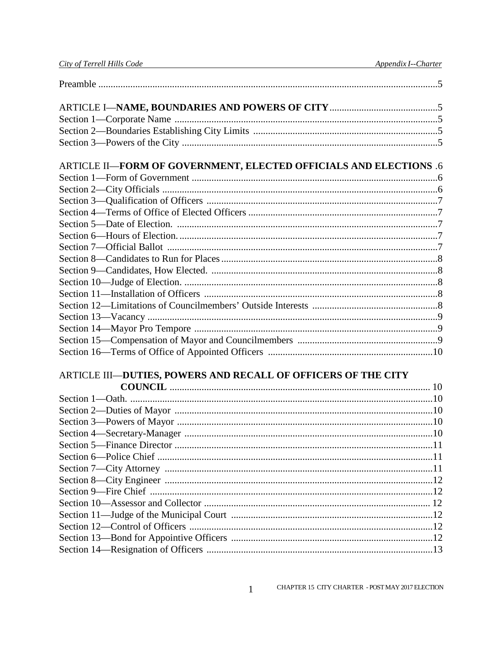| ARTICLE II-FORM OF GOVERNMENT, ELECTED OFFICIALS AND ELECTIONS .6 |  |
|-------------------------------------------------------------------|--|
|                                                                   |  |
|                                                                   |  |
|                                                                   |  |
|                                                                   |  |
|                                                                   |  |
|                                                                   |  |
|                                                                   |  |
|                                                                   |  |
|                                                                   |  |
|                                                                   |  |
|                                                                   |  |
|                                                                   |  |
|                                                                   |  |
|                                                                   |  |
|                                                                   |  |
|                                                                   |  |
| ARTICLE III-DUTIES, POWERS AND RECALL OF OFFICERS OF THE CITY     |  |
|                                                                   |  |
|                                                                   |  |
|                                                                   |  |
|                                                                   |  |
|                                                                   |  |
|                                                                   |  |
|                                                                   |  |
|                                                                   |  |
|                                                                   |  |
|                                                                   |  |
|                                                                   |  |
|                                                                   |  |
|                                                                   |  |

 $\mathbf{1}$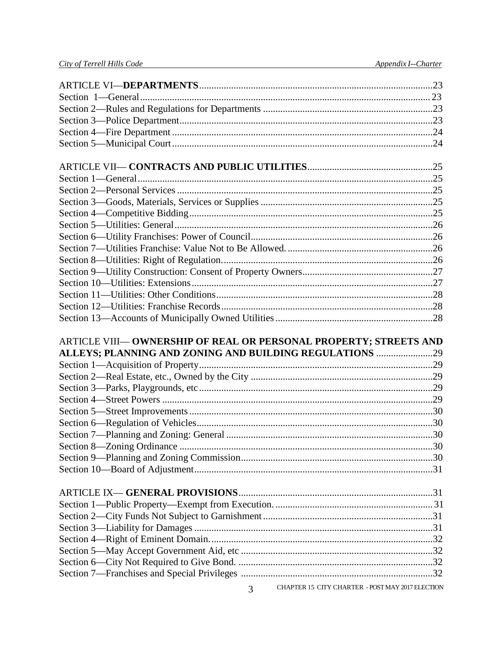| ARTICLE VIII-OWNERSHIP OF REAL OR PERSONAL PROPERTY; STREETS AND |
|------------------------------------------------------------------|
| ALLEYS; PLANNING AND ZONING AND BUILDING REGULATIONS 29          |
|                                                                  |
|                                                                  |
|                                                                  |
|                                                                  |
|                                                                  |
|                                                                  |
|                                                                  |
|                                                                  |
|                                                                  |
|                                                                  |
|                                                                  |
|                                                                  |
|                                                                  |
|                                                                  |
|                                                                  |
|                                                                  |
|                                                                  |
|                                                                  |
|                                                                  |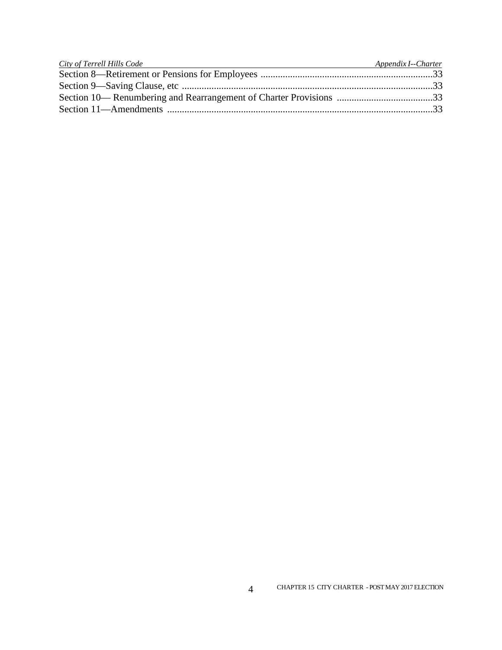| City of Terrell Hills Code <b>Server Containers</b> and the server of the server of the server of the server of the server of the server of the server of the server of the server of the server of the server of the server of the | Appendix I--Charter |
|-------------------------------------------------------------------------------------------------------------------------------------------------------------------------------------------------------------------------------------|---------------------|
|                                                                                                                                                                                                                                     |                     |
|                                                                                                                                                                                                                                     |                     |
|                                                                                                                                                                                                                                     |                     |
|                                                                                                                                                                                                                                     |                     |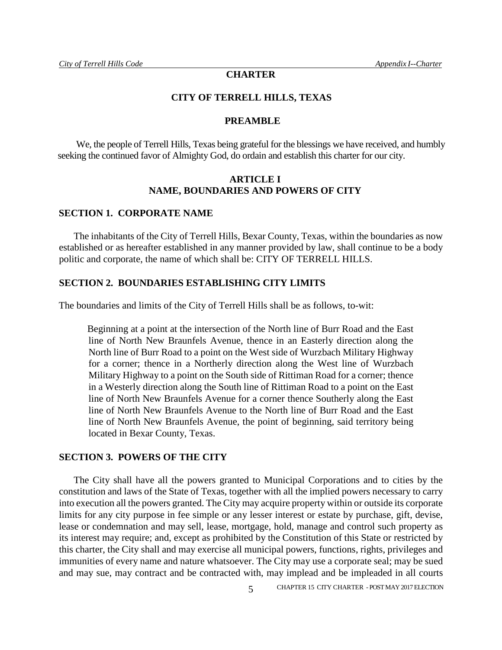# **CHARTER**

#### **CITY OF TERRELL HILLS, TEXAS**

#### **PREAMBLE**

We, the people of Terrell Hills, Texas being grateful for the blessings we have received, and humbly seeking the continued favor of Almighty God, do ordain and establish this charter for our city.

## **ARTICLE I NAME, BOUNDARIES AND POWERS OF CITY**

# **SECTION 1. CORPORATE NAME**

The inhabitants of the City of Terrell Hills, Bexar County, Texas, within the boundaries as now established or as hereafter established in any manner provided by law, shall continue to be a body politic and corporate, the name of which shall be: CITY OF TERRELL HILLS.

#### **SECTION 2. BOUNDARIES ESTABLISHING CITY LIMITS**

The boundaries and limits of the City of Terrell Hills shall be as follows, to-wit:

Beginning at a point at the intersection of the North line of Burr Road and the East line of North New Braunfels Avenue, thence in an Easterly direction along the North line of Burr Road to a point on the West side of Wurzbach Military Highway for a corner; thence in a Northerly direction along the West line of Wurzbach Military Highway to a point on the South side of Rittiman Road for a corner; thence in a Westerly direction along the South line of Rittiman Road to a point on the East line of North New Braunfels Avenue for a corner thence Southerly along the East line of North New Braunfels Avenue to the North line of Burr Road and the East line of North New Braunfels Avenue, the point of beginning, said territory being located in Bexar County, Texas.

#### **SECTION 3. POWERS OF THE CITY**

The City shall have all the powers granted to Municipal Corporations and to cities by the constitution and laws of the State of Texas, together with all the implied powers necessary to carry into execution all the powers granted. The City may acquire property within or outside its corporate limits for any city purpose in fee simple or any lesser interest or estate by purchase, gift, devise, lease or condemnation and may sell, lease, mortgage, hold, manage and control such property as its interest may require; and, except as prohibited by the Constitution of this State or restricted by this charter, the City shall and may exercise all municipal powers, functions, rights, privileges and immunities of every name and nature whatsoever. The City may use a corporate seal; may be sued and may sue, may contract and be contracted with, may implead and be impleaded in all courts

5 CHAPTER 15 CITY CHARTER - POST MAY 2017 ELECTION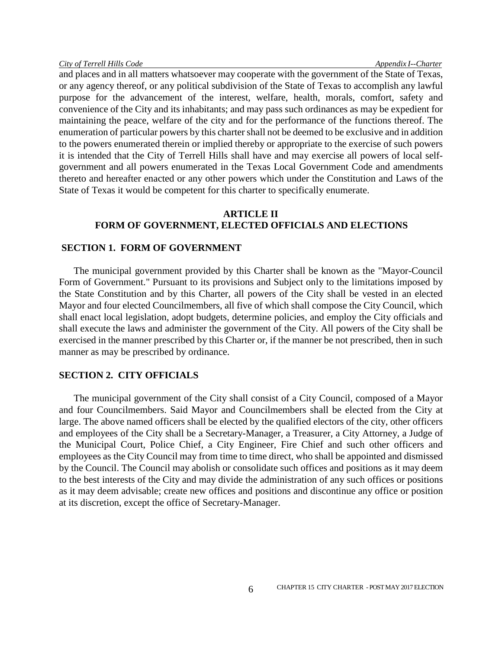and places and in all matters whatsoever may cooperate with the government of the State of Texas, or any agency thereof, or any political subdivision of the State of Texas to accomplish any lawful purpose for the advancement of the interest, welfare, health, morals, comfort, safety and convenience of the City and its inhabitants; and may pass such ordinances as may be expedient for maintaining the peace, welfare of the city and for the performance of the functions thereof. The enumeration of particular powers by this charter shall not be deemed to be exclusive and in addition to the powers enumerated therein or implied thereby or appropriate to the exercise of such powers it is intended that the City of Terrell Hills shall have and may exercise all powers of local selfgovernment and all powers enumerated in the Texas Local Government Code and amendments thereto and hereafter enacted or any other powers which under the Constitution and Laws of the State of Texas it would be competent for this charter to specifically enumerate.

# **ARTICLE II FORM OF GOVERNMENT, ELECTED OFFICIALS AND ELECTIONS**

## **SECTION 1. FORM OF GOVERNMENT**

The municipal government provided by this Charter shall be known as the "Mayor-Council Form of Government." Pursuant to its provisions and Subject only to the limitations imposed by the State Constitution and by this Charter, all powers of the City shall be vested in an elected Mayor and four elected Councilmembers, all five of which shall compose the City Council, which shall enact local legislation, adopt budgets, determine policies, and employ the City officials and shall execute the laws and administer the government of the City. All powers of the City shall be exercised in the manner prescribed by this Charter or, if the manner be not prescribed, then in such manner as may be prescribed by ordinance.

#### **SECTION 2. CITY OFFICIALS**

The municipal government of the City shall consist of a City Council, composed of a Mayor and four Councilmembers. Said Mayor and Councilmembers shall be elected from the City at large. The above named officers shall be elected by the qualified electors of the city, other officers and employees of the City shall be a Secretary-Manager, a Treasurer, a City Attorney, a Judge of the Municipal Court, Police Chief, a City Engineer, Fire Chief and such other officers and employees as the City Council may from time to time direct, who shall be appointed and dismissed by the Council. The Council may abolish or consolidate such offices and positions as it may deem to the best interests of the City and may divide the administration of any such offices or positions as it may deem advisable; create new offices and positions and discontinue any office or position at its discretion, except the office of Secretary-Manager.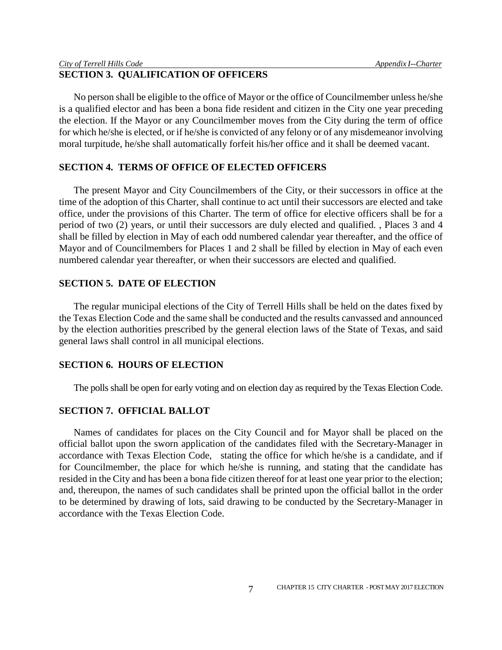# **SECTION 3. QUALIFICATION OF OFFICERS**

No person shall be eligible to the office of Mayor or the office of Councilmember unless he/she is a qualified elector and has been a bona fide resident and citizen in the City one year preceding the election. If the Mayor or any Councilmember moves from the City during the term of office for which he/she is elected, or if he/she is convicted of any felony or of any misdemeanor involving moral turpitude, he/she shall automatically forfeit his/her office and it shall be deemed vacant.

# **SECTION 4. TERMS OF OFFICE OF ELECTED OFFICERS**

The present Mayor and City Councilmembers of the City, or their successors in office at the time of the adoption of this Charter, shall continue to act until their successors are elected and take office, under the provisions of this Charter. The term of office for elective officers shall be for a period of two (2) years, or until their successors are duly elected and qualified. , Places 3 and 4 shall be filled by election in May of each odd numbered calendar year thereafter, and the office of Mayor and of Councilmembers for Places 1 and 2 shall be filled by election in May of each even numbered calendar year thereafter, or when their successors are elected and qualified.

# **SECTION 5. DATE OF ELECTION**

The regular municipal elections of the City of Terrell Hills shall be held on the dates fixed by the Texas Election Code and the same shall be conducted and the results canvassed and announced by the election authorities prescribed by the general election laws of the State of Texas, and said general laws shall control in all municipal elections.

# **SECTION 6. HOURS OF ELECTION**

The polls shall be open for early voting and on election day as required by the Texas Election Code.

# **SECTION 7. OFFICIAL BALLOT**

Names of candidates for places on the City Council and for Mayor shall be placed on the official ballot upon the sworn application of the candidates filed with the Secretary-Manager in accordance with Texas Election Code, stating the office for which he/she is a candidate, and if for Councilmember, the place for which he/she is running, and stating that the candidate has resided in the City and has been a bona fide citizen thereof for at least one year prior to the election; and, thereupon, the names of such candidates shall be printed upon the official ballot in the order to be determined by drawing of lots, said drawing to be conducted by the Secretary-Manager in accordance with the Texas Election Code.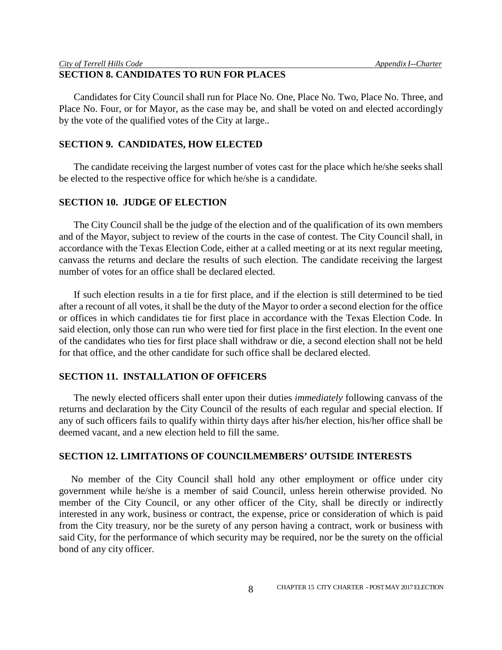# **SECTION 8. CANDIDATES TO RUN FOR PLACES**

Candidates for City Council shall run for Place No. One, Place No. Two, Place No. Three, and Place No. Four, or for Mayor, as the case may be, and shall be voted on and elected accordingly by the vote of the qualified votes of the City at large..

## **SECTION 9. CANDIDATES, HOW ELECTED**

The candidate receiving the largest number of votes cast for the place which he/she seeks shall be elected to the respective office for which he/she is a candidate.

## **SECTION 10. JUDGE OF ELECTION**

The City Council shall be the judge of the election and of the qualification of its own members and of the Mayor, subject to review of the courts in the case of contest. The City Council shall, in accordance with the Texas Election Code, either at a called meeting or at its next regular meeting, canvass the returns and declare the results of such election. The candidate receiving the largest number of votes for an office shall be declared elected.

If such election results in a tie for first place, and if the election is still determined to be tied after a recount of all votes, it shall be the duty of the Mayor to order a second election for the office or offices in which candidates tie for first place in accordance with the Texas Election Code. In said election, only those can run who were tied for first place in the first election. In the event one of the candidates who ties for first place shall withdraw or die, a second election shall not be held for that office, and the other candidate for such office shall be declared elected.

# **SECTION 11. INSTALLATION OF OFFICERS**

The newly elected officers shall enter upon their duties *immediately* following canvass of the returns and declaration by the City Council of the results of each regular and special election. If any of such officers fails to qualify within thirty days after his/her election, his/her office shall be deemed vacant, and a new election held to fill the same.

## **SECTION 12. LIMITATIONS OF COUNCILMEMBERS' OUTSIDE INTERESTS**

No member of the City Council shall hold any other employment or office under city government while he/she is a member of said Council, unless herein otherwise provided. No member of the City Council, or any other officer of the City, shall be directly or indirectly interested in any work, business or contract, the expense, price or consideration of which is paid from the City treasury, nor be the surety of any person having a contract, work or business with said City, for the performance of which security may be required, nor be the surety on the official bond of any city officer.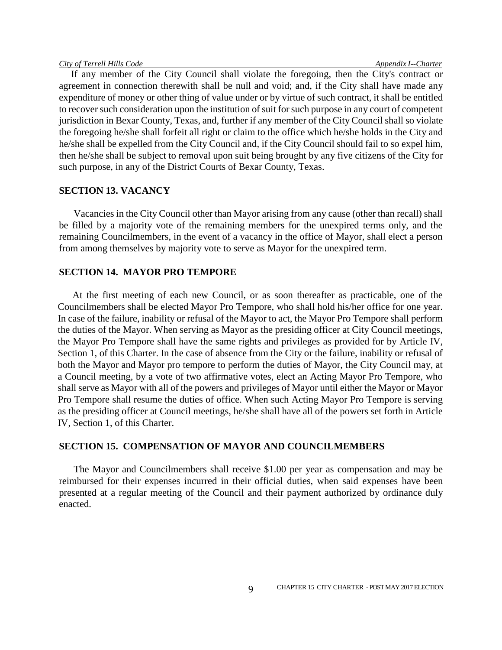If any member of the City Council shall violate the foregoing, then the City's contract or agreement in connection therewith shall be null and void; and, if the City shall have made any expenditure of money or other thing of value under or by virtue of such contract, it shall be entitled to recover such consideration upon the institution of suit for such purpose in any court of competent jurisdiction in Bexar County, Texas, and, further if any member of the City Council shall so violate the foregoing he/she shall forfeit all right or claim to the office which he/she holds in the City and he/she shall be expelled from the City Council and, if the City Council should fail to so expel him, then he/she shall be subject to removal upon suit being brought by any five citizens of the City for such purpose, in any of the District Courts of Bexar County, Texas.

## **SECTION 13. VACANCY**

Vacancies in the City Council other than Mayor arising from any cause (other than recall) shall be filled by a majority vote of the remaining members for the unexpired terms only, and the remaining Councilmembers, in the event of a vacancy in the office of Mayor, shall elect a person from among themselves by majority vote to serve as Mayor for the unexpired term.

## **SECTION 14. MAYOR PRO TEMPORE**

At the first meeting of each new Council, or as soon thereafter as practicable, one of the Councilmembers shall be elected Mayor Pro Tempore, who shall hold his/her office for one year. In case of the failure, inability or refusal of the Mayor to act, the Mayor Pro Tempore shall perform the duties of the Mayor. When serving as Mayor as the presiding officer at City Council meetings, the Mayor Pro Tempore shall have the same rights and privileges as provided for by Article IV, Section 1, of this Charter. In the case of absence from the City or the failure, inability or refusal of both the Mayor and Mayor pro tempore to perform the duties of Mayor, the City Council may, at a Council meeting, by a vote of two affirmative votes, elect an Acting Mayor Pro Tempore, who shall serve as Mayor with all of the powers and privileges of Mayor until either the Mayor or Mayor Pro Tempore shall resume the duties of office. When such Acting Mayor Pro Tempore is serving as the presiding officer at Council meetings, he/she shall have all of the powers set forth in Article IV, Section 1, of this Charter.

## **SECTION 15. COMPENSATION OF MAYOR AND COUNCILMEMBERS**

The Mayor and Councilmembers shall receive \$1.00 per year as compensation and may be reimbursed for their expenses incurred in their official duties, when said expenses have been presented at a regular meeting of the Council and their payment authorized by ordinance duly enacted.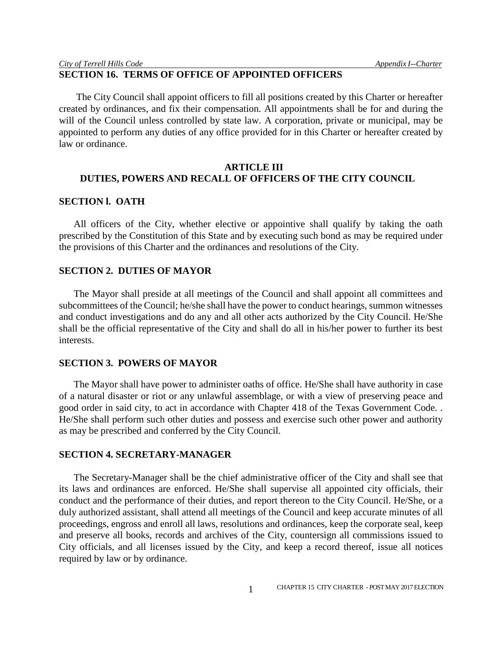# **SECTION 16. TERMS OF OFFICE OF APPOINTED OFFICERS**

The City Council shall appoint officers to fill all positions created by this Charter or hereafter created by ordinances, and fix their compensation. All appointments shall be for and during the will of the Council unless controlled by state law. A corporation, private or municipal, may be appointed to perform any duties of any office provided for in this Charter or hereafter created by law or ordinance.

# **ARTICLE III DUTIES, POWERS AND RECALL OF OFFICERS OF THE CITY COUNCIL**

## **SECTION l. OATH**

All officers of the City, whether elective or appointive shall qualify by taking the oath prescribed by the Constitution of this State and by executing such bond as may be required under the provisions of this Charter and the ordinances and resolutions of the City.

# **SECTION 2. DUTIES OF MAYOR**

The Mayor shall preside at all meetings of the Council and shall appoint all committees and subcommittees of the Council; he/she shall have the power to conduct hearings, summon witnesses and conduct investigations and do any and all other acts authorized by the City Council. He/She shall be the official representative of the City and shall do all in his/her power to further its best interests.

#### **SECTION 3. POWERS OF MAYOR**

The Mayor shall have power to administer oaths of office. He/She shall have authority in case of a natural disaster or riot or any unlawful assemblage, or with a view of preserving peace and good order in said city, to act in accordance with Chapter 418 of the Texas Government Code. . He/She shall perform such other duties and possess and exercise such other power and authority as may be prescribed and conferred by the City Council.

#### **SECTION 4. SECRETARY-MANAGER**

The Secretary-Manager shall be the chief administrative officer of the City and shall see that its laws and ordinances are enforced. He/She shall supervise all appointed city officials, their conduct and the performance of their duties, and report thereon to the City Council. He/She, or a duly authorized assistant, shall attend all meetings of the Council and keep accurate minutes of all proceedings, engross and enroll all laws, resolutions and ordinances, keep the corporate seal, keep and preserve all books, records and archives of the City, countersign all commissions issued to City officials, and all licenses issued by the City, and keep a record thereof, issue all notices required by law or by ordinance.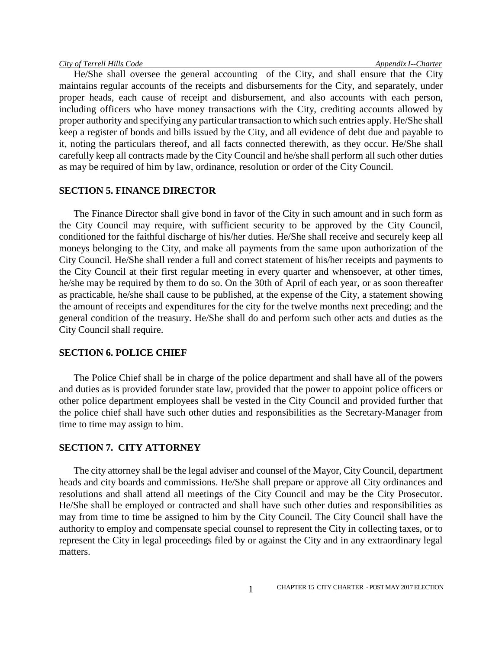He/She shall oversee the general accounting of the City, and shall ensure that the City maintains regular accounts of the receipts and disbursements for the City, and separately, under proper heads, each cause of receipt and disbursement, and also accounts with each person, including officers who have money transactions with the City, crediting accounts allowed by proper authority and specifying any particular transaction to which such entries apply. He/She shall keep a register of bonds and bills issued by the City, and all evidence of debt due and payable to it, noting the particulars thereof, and all facts connected therewith, as they occur. He/She shall carefully keep all contracts made by the City Council and he/she shall perform all such other duties as may be required of him by law, ordinance, resolution or order of the City Council.

#### **SECTION 5. FINANCE DIRECTOR**

The Finance Director shall give bond in favor of the City in such amount and in such form as the City Council may require, with sufficient security to be approved by the City Council, conditioned for the faithful discharge of his/her duties. He/She shall receive and securely keep all moneys belonging to the City, and make all payments from the same upon authorization of the City Council. He/She shall render a full and correct statement of his/her receipts and payments to the City Council at their first regular meeting in every quarter and whensoever, at other times, he/she may be required by them to do so. On the 30th of April of each year, or as soon thereafter as practicable, he/she shall cause to be published, at the expense of the City, a statement showing the amount of receipts and expenditures for the city for the twelve months next preceding; and the general condition of the treasury. He/She shall do and perform such other acts and duties as the City Council shall require.

#### **SECTION 6. POLICE CHIEF**

The Police Chief shall be in charge of the police department and shall have all of the powers and duties as is provided forunder state law, provided that the power to appoint police officers or other police department employees shall be vested in the City Council and provided further that the police chief shall have such other duties and responsibilities as the Secretary-Manager from time to time may assign to him.

# **SECTION 7. CITY ATTORNEY**

The city attorney shall be the legal adviser and counsel of the Mayor, City Council, department heads and city boards and commissions. He/She shall prepare or approve all City ordinances and resolutions and shall attend all meetings of the City Council and may be the City Prosecutor. He/She shall be employed or contracted and shall have such other duties and responsibilities as may from time to time be assigned to him by the City Council. The City Council shall have the authority to employ and compensate special counsel to represent the City in collecting taxes, or to represent the City in legal proceedings filed by or against the City and in any extraordinary legal matters.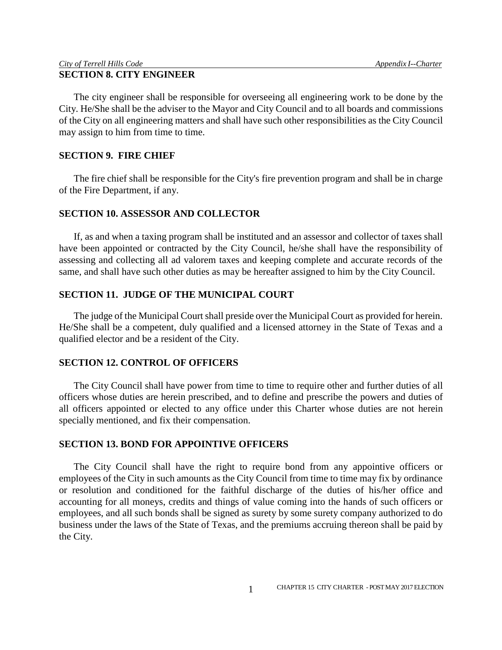The city engineer shall be responsible for overseeing all engineering work to be done by the City. He/She shall be the adviser to the Mayor and City Council and to all boards and commissions of the City on all engineering matters and shall have such other responsibilities as the City Council may assign to him from time to time.

# **SECTION 9. FIRE CHIEF**

The fire chief shall be responsible for the City's fire prevention program and shall be in charge of the Fire Department, if any.

## **SECTION 10. ASSESSOR AND COLLECTOR**

If, as and when a taxing program shall be instituted and an assessor and collector of taxes shall have been appointed or contracted by the City Council, he/she shall have the responsibility of assessing and collecting all ad valorem taxes and keeping complete and accurate records of the same, and shall have such other duties as may be hereafter assigned to him by the City Council.

# **SECTION 11. JUDGE OF THE MUNICIPAL COURT**

The judge of the Municipal Court shall preside over the Municipal Court as provided for herein. He/She shall be a competent, duly qualified and a licensed attorney in the State of Texas and a qualified elector and be a resident of the City.

## **SECTION 12. CONTROL OF OFFICERS**

The City Council shall have power from time to time to require other and further duties of all officers whose duties are herein prescribed, and to define and prescribe the powers and duties of all officers appointed or elected to any office under this Charter whose duties are not herein specially mentioned, and fix their compensation.

# **SECTION 13. BOND FOR APPOINTIVE OFFICERS**

The City Council shall have the right to require bond from any appointive officers or employees of the City in such amounts as the City Council from time to time may fix by ordinance or resolution and conditioned for the faithful discharge of the duties of his/her office and accounting for all moneys, credits and things of value coming into the hands of such officers or employees, and all such bonds shall be signed as surety by some surety company authorized to do business under the laws of the State of Texas, and the premiums accruing thereon shall be paid by the City.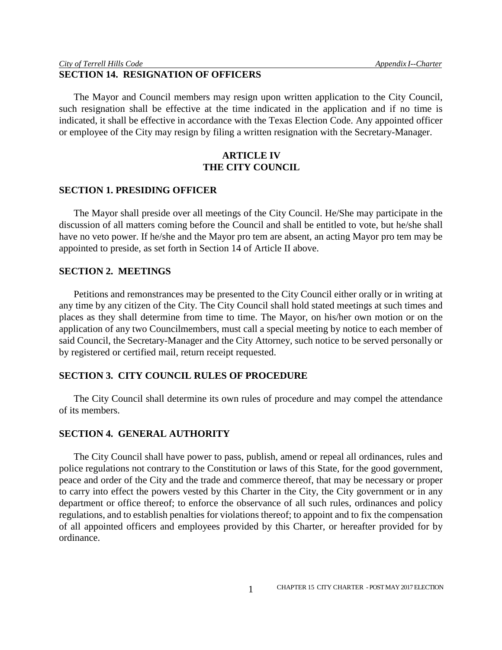# **SECTION 14. RESIGNATION OF OFFICERS**

The Mayor and Council members may resign upon written application to the City Council, such resignation shall be effective at the time indicated in the application and if no time is indicated, it shall be effective in accordance with the Texas Election Code. Any appointed officer or employee of the City may resign by filing a written resignation with the Secretary-Manager.

# **ARTICLE IV THE CITY COUNCIL**

#### **SECTION 1. PRESIDING OFFICER**

The Mayor shall preside over all meetings of the City Council. He/She may participate in the discussion of all matters coming before the Council and shall be entitled to vote, but he/she shall have no veto power. If he/she and the Mayor pro tem are absent, an acting Mayor pro tem may be appointed to preside, as set forth in Section 14 of Article II above.

## **SECTION 2. MEETINGS**

Petitions and remonstrances may be presented to the City Council either orally or in writing at any time by any citizen of the City. The City Council shall hold stated meetings at such times and places as they shall determine from time to time. The Mayor, on his/her own motion or on the application of any two Councilmembers, must call a special meeting by notice to each member of said Council, the Secretary-Manager and the City Attorney, such notice to be served personally or by registered or certified mail, return receipt requested.

# **SECTION 3. CITY COUNCIL RULES OF PROCEDURE**

The City Council shall determine its own rules of procedure and may compel the attendance of its members.

## **SECTION 4. GENERAL AUTHORITY**

The City Council shall have power to pass, publish, amend or repeal all ordinances, rules and police regulations not contrary to the Constitution or laws of this State, for the good government, peace and order of the City and the trade and commerce thereof, that may be necessary or proper to carry into effect the powers vested by this Charter in the City, the City government or in any department or office thereof; to enforce the observance of all such rules, ordinances and policy regulations, and to establish penalties for violations thereof; to appoint and to fix the compensation of all appointed officers and employees provided by this Charter, or hereafter provided for by ordinance.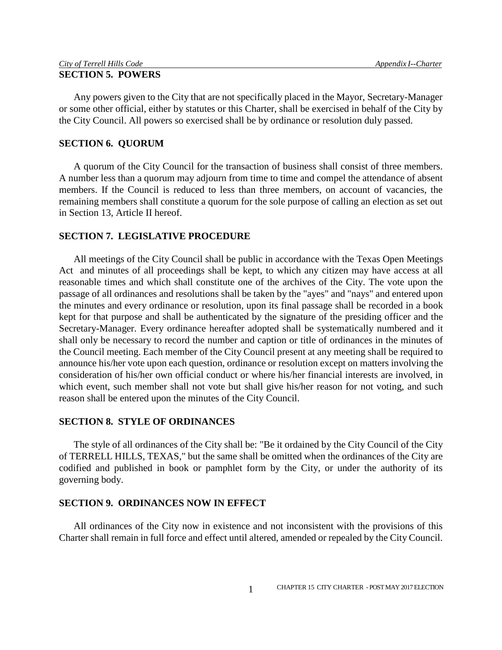| City of Terrell Hills Code | Appendix I--Charter |
|----------------------------|---------------------|
| <b>SECTION 5. POWERS</b>   |                     |

Any powers given to the City that are not specifically placed in the Mayor, Secretary-Manager or some other official, either by statutes or this Charter, shall be exercised in behalf of the City by the City Council. All powers so exercised shall be by ordinance or resolution duly passed.

## **SECTION 6. QUORUM**

A quorum of the City Council for the transaction of business shall consist of three members. A number less than a quorum may adjourn from time to time and compel the attendance of absent members. If the Council is reduced to less than three members, on account of vacancies, the remaining members shall constitute a quorum for the sole purpose of calling an election as set out in Section 13, Article II hereof.

# **SECTION 7. LEGISLATIVE PROCEDURE**

All meetings of the City Council shall be public in accordance with the Texas Open Meetings Act and minutes of all proceedings shall be kept, to which any citizen may have access at all reasonable times and which shall constitute one of the archives of the City. The vote upon the passage of all ordinances and resolutions shall be taken by the "ayes" and "nays" and entered upon the minutes and every ordinance or resolution, upon its final passage shall be recorded in a book kept for that purpose and shall be authenticated by the signature of the presiding officer and the Secretary-Manager. Every ordinance hereafter adopted shall be systematically numbered and it shall only be necessary to record the number and caption or title of ordinances in the minutes of the Council meeting. Each member of the City Council present at any meeting shall be required to announce his/her vote upon each question, ordinance or resolution except on matters involving the consideration of his/her own official conduct or where his/her financial interests are involved, in which event, such member shall not vote but shall give his/her reason for not voting, and such reason shall be entered upon the minutes of the City Council.

## **SECTION 8. STYLE OF ORDINANCES**

The style of all ordinances of the City shall be: "Be it ordained by the City Council of the City of TERRELL HILLS, TEXAS," but the same shall be omitted when the ordinances of the City are codified and published in book or pamphlet form by the City, or under the authority of its governing body.

## **SECTION 9. ORDINANCES NOW IN EFFECT**

All ordinances of the City now in existence and not inconsistent with the provisions of this Charter shall remain in full force and effect until altered, amended or repealed by the City Council.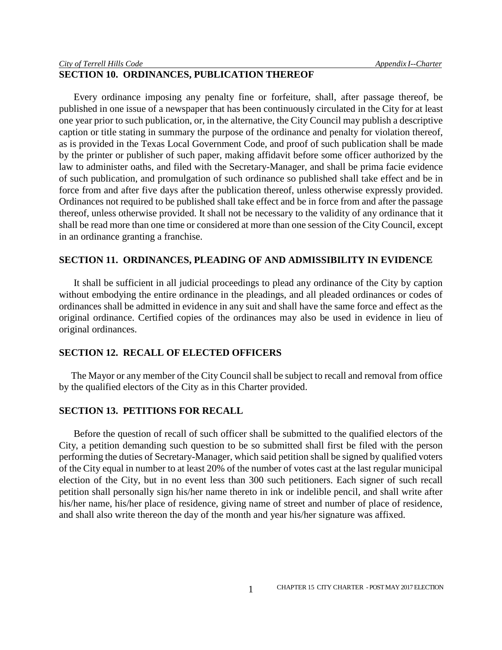# **SECTION 10. ORDINANCES, PUBLICATION THEREOF**

Every ordinance imposing any penalty fine or forfeiture, shall, after passage thereof, be published in one issue of a newspaper that has been continuously circulated in the City for at least one year prior to such publication, or, in the alternative, the City Council may publish a descriptive caption or title stating in summary the purpose of the ordinance and penalty for violation thereof, as is provided in the Texas Local Government Code, and proof of such publication shall be made by the printer or publisher of such paper, making affidavit before some officer authorized by the law to administer oaths, and filed with the Secretary-Manager, and shall be prima facie evidence of such publication, and promulgation of such ordinance so published shall take effect and be in force from and after five days after the publication thereof, unless otherwise expressly provided. Ordinances not required to be published shall take effect and be in force from and after the passage thereof, unless otherwise provided. It shall not be necessary to the validity of any ordinance that it shall be read more than one time or considered at more than one session of the City Council, except in an ordinance granting a franchise.

#### **SECTION 11. ORDINANCES, PLEADING OF AND ADMISSIBILITY IN EVIDENCE**

It shall be sufficient in all judicial proceedings to plead any ordinance of the City by caption without embodying the entire ordinance in the pleadings, and all pleaded ordinances or codes of ordinances shall be admitted in evidence in any suit and shall have the same force and effect as the original ordinance. Certified copies of the ordinances may also be used in evidence in lieu of original ordinances.

# **SECTION 12. RECALL OF ELECTED OFFICERS**

The Mayor or any member of the City Council shall be subject to recall and removal from office by the qualified electors of the City as in this Charter provided.

# **SECTION 13. PETITIONS FOR RECALL**

Before the question of recall of such officer shall be submitted to the qualified electors of the City, a petition demanding such question to be so submitted shall first be filed with the person performing the duties of Secretary-Manager, which said petition shall be signed by qualified voters of the City equal in number to at least 20% of the number of votes cast at the last regular municipal election of the City, but in no event less than 300 such petitioners. Each signer of such recall petition shall personally sign his/her name thereto in ink or indelible pencil, and shall write after his/her name, his/her place of residence, giving name of street and number of place of residence, and shall also write thereon the day of the month and year his/her signature was affixed.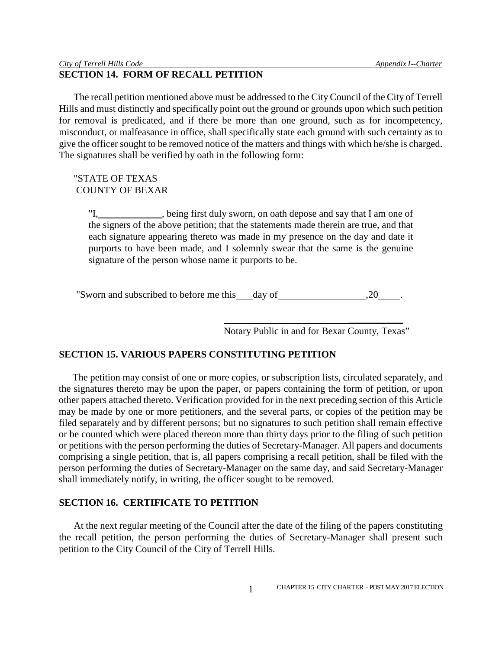# **SECTION 14. FORM OF RECALL PETITION**

The recall petition mentioned above must be addressed to the City Council of the City of Terrell Hills and must distinctly and specifically point out the ground or grounds upon which such petition for removal is predicated, and if there be more than one ground, such as for incompetency, misconduct, or malfeasance in office, shall specifically state each ground with such certainty as to give the officer sought to be removed notice of the matters and things with which he/she is charged. The signatures shall be verified by oath in the following form:

# "STATE OF TEXAS COUNTY OF BEXAR

"I, \_\_\_\_\_\_\_\_\_\_, being first duly sworn, on oath depose and say that I am one of the signers of the above petition; that the statements made therein are true, and that each signature appearing thereto was made in my presence on the day and date it purports to have been made, and I solemnly swear that the same is the genuine signature of the person whose name it purports to be.

"Sworn and subscribed to before me this day of  $\frac{20}{100}$ .

Notary Public in and for Bexar County, Texas"

 $\overline{\phantom{a}}$  , where  $\overline{\phantom{a}}$ 

# **SECTION 15. VARIOUS PAPERS CONSTITUTING PETITION**

The petition may consist of one or more copies, or subscription lists, circulated separately, and the signatures thereto may be upon the paper, or papers containing the form of petition, or upon other papers attached thereto. Verification provided for in the next preceding section of this Article may be made by one or more petitioners, and the several parts, or copies of the petition may be filed separately and by different persons; but no signatures to such petition shall remain effective or be counted which were placed thereon more than thirty days prior to the filing of such petition or petitions with the person performing the duties of Secretary-Manager. All papers and documents comprising a single petition, that is, all papers comprising a recall petition, shall be filed with the person performing the duties of Secretary-Manager on the same day, and said Secretary-Manager shall immediately notify, in writing, the officer sought to be removed.

# **SECTION 16. CERTIFICATE TO PETITION**

At the next regular meeting of the Council after the date of the filing of the papers constituting the recall petition, the person performing the duties of Secretary-Manager shall present such petition to the City Council of the City of Terrell Hills.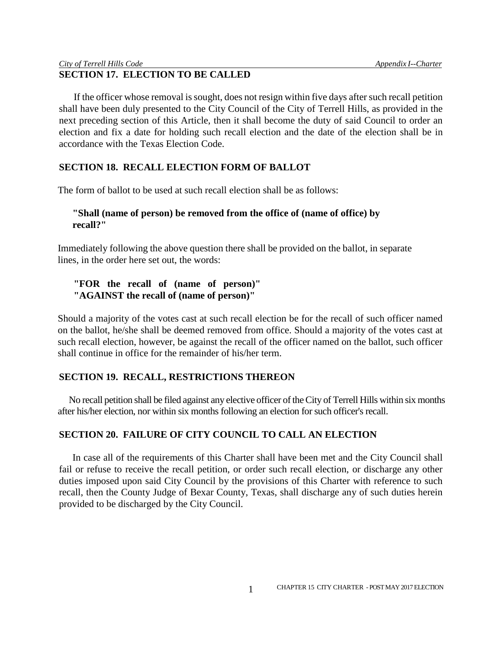# **SECTION 17. ELECTION TO BE CALLED**

If the officer whose removal is sought, does not resign within five days after such recall petition shall have been duly presented to the City Council of the City of Terrell Hills, as provided in the next preceding section of this Article, then it shall become the duty of said Council to order an election and fix a date for holding such recall election and the date of the election shall be in accordance with the Texas Election Code.

# **SECTION 18. RECALL ELECTION FORM OF BALLOT**

The form of ballot to be used at such recall election shall be as follows:

# **"Shall (name of person) be removed from the office of (name of office) by recall?"**

Immediately following the above question there shall be provided on the ballot, in separate lines, in the order here set out, the words:

# **"FOR the recall of (name of person)" "AGAINST the recall of (name of person)"**

Should a majority of the votes cast at such recall election be for the recall of such officer named on the ballot, he/she shall be deemed removed from office. Should a majority of the votes cast at such recall election, however, be against the recall of the officer named on the ballot, such officer shall continue in office for the remainder of his/her term.

# **SECTION 19. RECALL, RESTRICTIONS THEREON**

No recall petition shall be filed against any elective officer of the City of Terrell Hills within six months after his/her election, nor within six months following an election for such officer's recall.

# **SECTION 20. FAILURE OF CITY COUNCIL TO CALL AN ELECTION**

In case all of the requirements of this Charter shall have been met and the City Council shall fail or refuse to receive the recall petition, or order such recall election, or discharge any other duties imposed upon said City Council by the provisions of this Charter with reference to such recall, then the County Judge of Bexar County, Texas, shall discharge any of such duties herein provided to be discharged by the City Council.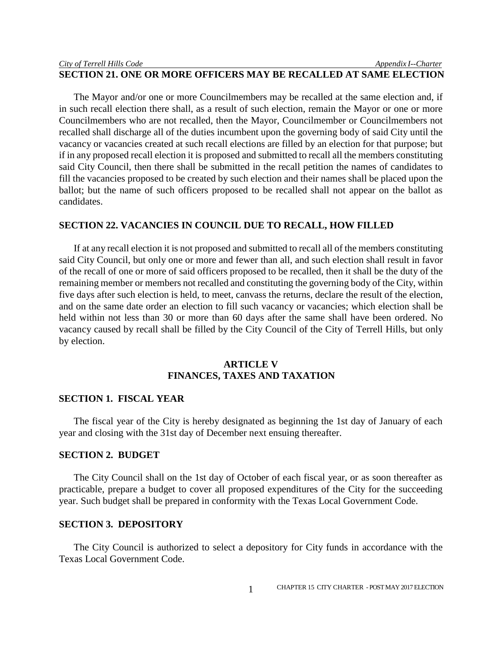# **SECTION 21. ONE OR MORE OFFICERS MAY BE RECALLED AT SAME ELECTION**

The Mayor and/or one or more Councilmembers may be recalled at the same election and, if in such recall election there shall, as a result of such election, remain the Mayor or one or more Councilmembers who are not recalled, then the Mayor, Councilmember or Councilmembers not recalled shall discharge all of the duties incumbent upon the governing body of said City until the vacancy or vacancies created at such recall elections are filled by an election for that purpose; but if in any proposed recall election it is proposed and submitted to recall all the members constituting said City Council, then there shall be submitted in the recall petition the names of candidates to fill the vacancies proposed to be created by such election and their names shall be placed upon the ballot; but the name of such officers proposed to be recalled shall not appear on the ballot as candidates.

#### **SECTION 22. VACANCIES IN COUNCIL DUE TO RECALL, HOW FILLED**

If at any recall election it is not proposed and submitted to recall all of the members constituting said City Council, but only one or more and fewer than all, and such election shall result in favor of the recall of one or more of said officers proposed to be recalled, then it shall be the duty of the remaining member or members not recalled and constituting the governing body of the City, within five days after such election is held, to meet, canvass the returns, declare the result of the election, and on the same date order an election to fill such vacancy or vacancies; which election shall be held within not less than 30 or more than 60 days after the same shall have been ordered. No vacancy caused by recall shall be filled by the City Council of the City of Terrell Hills, but only by election.

# **ARTICLE V FINANCES, TAXES AND TAXATION**

## **SECTION 1. FISCAL YEAR**

The fiscal year of the City is hereby designated as beginning the 1st day of January of each year and closing with the 31st day of December next ensuing thereafter.

#### **SECTION 2. BUDGET**

The City Council shall on the 1st day of October of each fiscal year, or as soon thereafter as practicable, prepare a budget to cover all proposed expenditures of the City for the succeeding year. Such budget shall be prepared in conformity with the Texas Local Government Code.

# **SECTION 3. DEPOSITORY**

The City Council is authorized to select a depository for City funds in accordance with the Texas Local Government Code.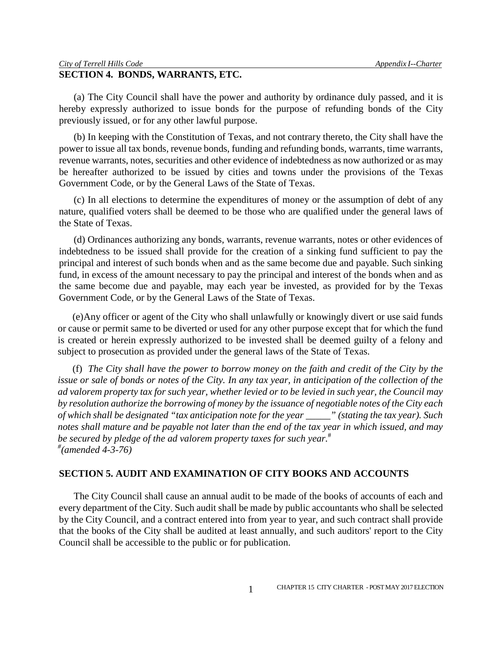# **SECTION 4. BONDS, WARRANTS, ETC.**

(a) The City Council shall have the power and authority by ordinance duly passed, and it is hereby expressly authorized to issue bonds for the purpose of refunding bonds of the City previously issued, or for any other lawful purpose.

(b) In keeping with the Constitution of Texas, and not contrary thereto, the City shall have the power to issue all tax bonds, revenue bonds, funding and refunding bonds, warrants, time warrants, revenue warrants, notes, securities and other evidence of indebtedness as now authorized or as may be hereafter authorized to be issued by cities and towns under the provisions of the Texas Government Code, or by the General Laws of the State of Texas.

(c) In all elections to determine the expenditures of money or the assumption of debt of any nature, qualified voters shall be deemed to be those who are qualified under the general laws of the State of Texas.

(d) Ordinances authorizing any bonds, warrants, revenue warrants, notes or other evidences of indebtedness to be issued shall provide for the creation of a sinking fund sufficient to pay the principal and interest of such bonds when and as the same become due and payable. Such sinking fund, in excess of the amount necessary to pay the principal and interest of the bonds when and as the same become due and payable, may each year be invested, as provided for by the Texas Government Code, or by the General Laws of the State of Texas.

(e)Any officer or agent of the City who shall unlawfully or knowingly divert or use said funds or cause or permit same to be diverted or used for any other purpose except that for which the fund is created or herein expressly authorized to be invested shall be deemed guilty of a felony and subject to prosecution as provided under the general laws of the State of Texas.

(f) *The City shall have the power to borrow money on the faith and credit of the City by the issue or sale of bonds or notes of the City. In any tax year, in anticipation of the collection of the ad valorem property tax for such year, whether levied or to be levied in such year, the Council may by resolution authorize the borrowing of money by the issuance of negotiable notes of the City each of which shall be designated "tax anticipation note for the year \_\_\_\_\_" (stating the tax year). Such notes shall mature and be payable not later than the end of the tax year in which issued, and may be secured by pledge of the ad valorem property taxes for such year.*# *# (amended 4-3-76)*

## **SECTION 5. AUDIT AND EXAMINATION OF CITY BOOKS AND ACCOUNTS**

The City Council shall cause an annual audit to be made of the books of accounts of each and every department of the City. Such audit shall be made by public accountants who shall be selected by the City Council, and a contract entered into from year to year, and such contract shall provide that the books of the City shall be audited at least annually, and such auditors' report to the City Council shall be accessible to the public or for publication.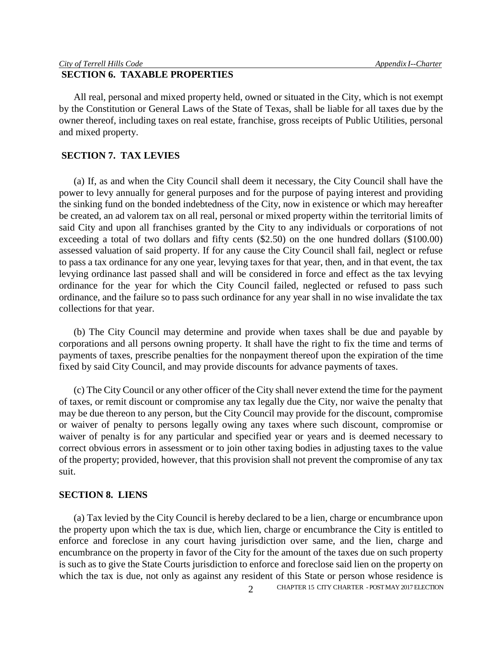# **SECTION 6. TAXABLE PROPERTIES**

All real, personal and mixed property held, owned or situated in the City, which is not exempt by the Constitution or General Laws of the State of Texas, shall be liable for all taxes due by the owner thereof, including taxes on real estate, franchise, gross receipts of Public Utilities, personal and mixed property.

# **SECTION 7. TAX LEVIES**

(a) If, as and when the City Council shall deem it necessary, the City Council shall have the power to levy annually for general purposes and for the purpose of paying interest and providing the sinking fund on the bonded indebtedness of the City, now in existence or which may hereafter be created, an ad valorem tax on all real, personal or mixed property within the territorial limits of said City and upon all franchises granted by the City to any individuals or corporations of not exceeding a total of two dollars and fifty cents (\$2.50) on the one hundred dollars (\$100.00) assessed valuation of said property. If for any cause the City Council shall fail, neglect or refuse to pass a tax ordinance for any one year, levying taxes for that year, then, and in that event, the tax levying ordinance last passed shall and will be considered in force and effect as the tax levying ordinance for the year for which the City Council failed, neglected or refused to pass such ordinance, and the failure so to pass such ordinance for any year shall in no wise invalidate the tax collections for that year.

(b) The City Council may determine and provide when taxes shall be due and payable by corporations and all persons owning property. It shall have the right to fix the time and terms of payments of taxes, prescribe penalties for the nonpayment thereof upon the expiration of the time fixed by said City Council, and may provide discounts for advance payments of taxes.

(c) The City Council or any other officer of the City shall never extend the time for the payment of taxes, or remit discount or compromise any tax legally due the City, nor waive the penalty that may be due thereon to any person, but the City Council may provide for the discount, compromise or waiver of penalty to persons legally owing any taxes where such discount, compromise or waiver of penalty is for any particular and specified year or years and is deemed necessary to correct obvious errors in assessment or to join other taxing bodies in adjusting taxes to the value of the property; provided, however, that this provision shall not prevent the compromise of any tax suit.

#### **SECTION 8. LIENS**

(a) Tax levied by the City Council is hereby declared to be a lien, charge or encumbrance upon the property upon which the tax is due, which lien, charge or encumbrance the City is entitled to enforce and foreclose in any court having jurisdiction over same, and the lien, charge and encumbrance on the property in favor of the City for the amount of the taxes due on such property is such as to give the State Courts jurisdiction to enforce and foreclose said lien on the property on which the tax is due, not only as against any resident of this State or person whose residence is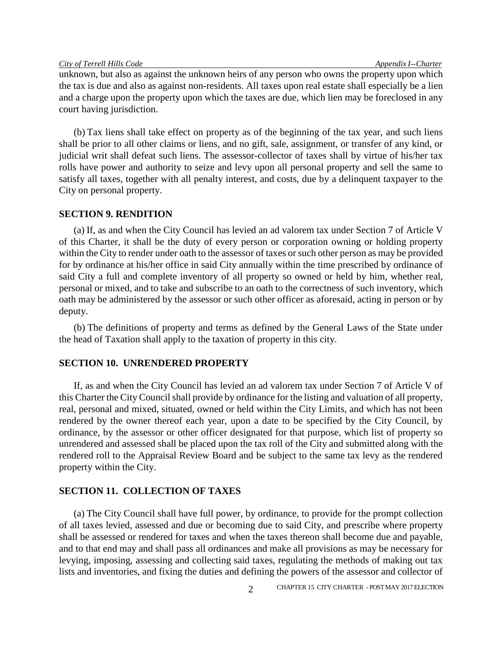unknown, but also as against the unknown heirs of any person who owns the property upon which the tax is due and also as against non-residents. All taxes upon real estate shall especially be a lien and a charge upon the property upon which the taxes are due, which lien may be foreclosed in any court having jurisdiction.

(b) Tax liens shall take effect on property as of the beginning of the tax year, and such liens shall be prior to all other claims or liens, and no gift, sale, assignment, or transfer of any kind, or judicial writ shall defeat such liens. The assessor-collector of taxes shall by virtue of his/her tax rolls have power and authority to seize and levy upon all personal property and sell the same to satisfy all taxes, together with all penalty interest, and costs, due by a delinquent taxpayer to the City on personal property.

## **SECTION 9. RENDITION**

(a) If, as and when the City Council has levied an ad valorem tax under Section 7 of Article V of this Charter, it shall be the duty of every person or corporation owning or holding property within the City to render under oath to the assessor of taxes or such other person as may be provided for by ordinance at his/her office in said City annually within the time prescribed by ordinance of said City a full and complete inventory of all property so owned or held by him, whether real, personal or mixed, and to take and subscribe to an oath to the correctness of such inventory, which oath may be administered by the assessor or such other officer as aforesaid, acting in person or by deputy.

(b) The definitions of property and terms as defined by the General Laws of the State under the head of Taxation shall apply to the taxation of property in this city.

# **SECTION 10. UNRENDERED PROPERTY**

If, as and when the City Council has levied an ad valorem tax under Section 7 of Article V of this Charter the City Council shall provide by ordinance for the listing and valuation of all property, real, personal and mixed, situated, owned or held within the City Limits, and which has not been rendered by the owner thereof each year, upon a date to be specified by the City Council, by ordinance, by the assessor or other officer designated for that purpose, which list of property so unrendered and assessed shall be placed upon the tax roll of the City and submitted along with the rendered roll to the Appraisal Review Board and be subject to the same tax levy as the rendered property within the City.

#### **SECTION 11. COLLECTION OF TAXES**

(a) The City Council shall have full power, by ordinance, to provide for the prompt collection of all taxes levied, assessed and due or becoming due to said City, and prescribe where property shall be assessed or rendered for taxes and when the taxes thereon shall become due and payable, and to that end may and shall pass all ordinances and make all provisions as may be necessary for levying, imposing, assessing and collecting said taxes, regulating the methods of making out tax lists and inventories, and fixing the duties and defining the powers of the assessor and collector of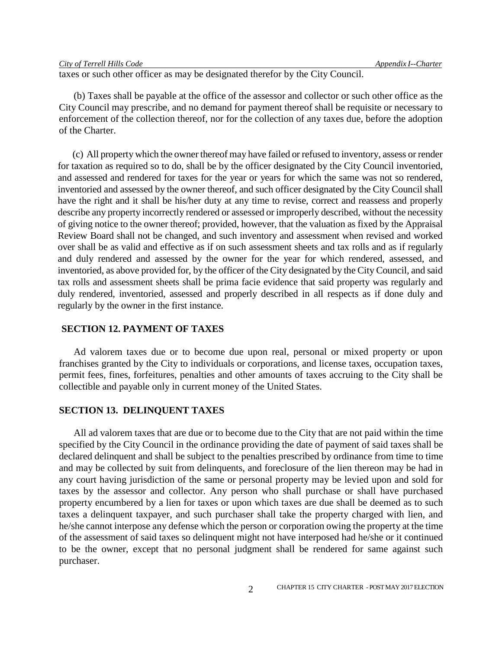| City of Terrell Hills Code |  |
|----------------------------|--|
|                            |  |

taxes or such other officer as may be designated therefor by the City Council.

(b) Taxes shall be payable at the office of the assessor and collector or such other office as the City Council may prescribe, and no demand for payment thereof shall be requisite or necessary to enforcement of the collection thereof, nor for the collection of any taxes due, before the adoption of the Charter.

(c) All property which the owner thereof may have failed or refused to inventory, assess or render for taxation as required so to do, shall be by the officer designated by the City Council inventoried, and assessed and rendered for taxes for the year or years for which the same was not so rendered, inventoried and assessed by the owner thereof, and such officer designated by the City Council shall have the right and it shall be his/her duty at any time to revise, correct and reassess and properly describe any property incorrectly rendered or assessed or improperly described, without the necessity of giving notice to the owner thereof; provided, however, that the valuation as fixed by the Appraisal Review Board shall not be changed, and such inventory and assessment when revised and worked over shall be as valid and effective as if on such assessment sheets and tax rolls and as if regularly and duly rendered and assessed by the owner for the year for which rendered, assessed, and inventoried, as above provided for, by the officer of the City designated by the City Council, and said tax rolls and assessment sheets shall be prima facie evidence that said property was regularly and duly rendered, inventoried, assessed and properly described in all respects as if done duly and regularly by the owner in the first instance.

## **SECTION 12. PAYMENT OF TAXES**

Ad valorem taxes due or to become due upon real, personal or mixed property or upon franchises granted by the City to individuals or corporations, and license taxes, occupation taxes, permit fees, fines, forfeitures, penalties and other amounts of taxes accruing to the City shall be collectible and payable only in current money of the United States.

#### **SECTION 13. DELINQUENT TAXES**

All ad valorem taxes that are due or to become due to the City that are not paid within the time specified by the City Council in the ordinance providing the date of payment of said taxes shall be declared delinquent and shall be subject to the penalties prescribed by ordinance from time to time and may be collected by suit from delinquents, and foreclosure of the lien thereon may be had in any court having jurisdiction of the same or personal property may be levied upon and sold for taxes by the assessor and collector. Any person who shall purchase or shall have purchased property encumbered by a lien for taxes or upon which taxes are due shall be deemed as to such taxes a delinquent taxpayer, and such purchaser shall take the property charged with lien, and he/she cannot interpose any defense which the person or corporation owing the property at the time of the assessment of said taxes so delinquent might not have interposed had he/she or it continued to be the owner, except that no personal judgment shall be rendered for same against such purchaser.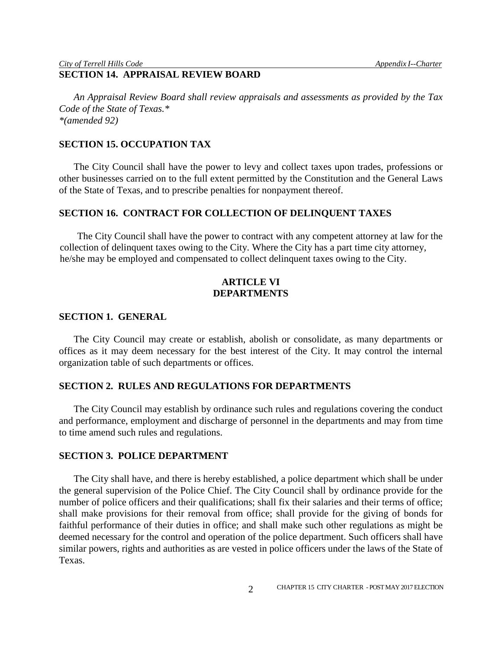#### *City of Terrell Hills Code Appendix I--Charter* **SECTION 14. APPRAISAL REVIEW BOARD**

*An Appraisal Review Board shall review appraisals and assessments as provided by the Tax Code of the State of Texas.\* \*(amended 92)*

## **SECTION 15. OCCUPATION TAX**

The City Council shall have the power to levy and collect taxes upon trades, professions or other businesses carried on to the full extent permitted by the Constitution and the General Laws of the State of Texas, and to prescribe penalties for nonpayment thereof.

## **SECTION 16. CONTRACT FOR COLLECTION OF DELINQUENT TAXES**

The City Council shall have the power to contract with any competent attorney at law for the collection of delinquent taxes owing to the City. Where the City has a part time city attorney, he/she may be employed and compensated to collect delinquent taxes owing to the City.

# **ARTICLE VI DEPARTMENTS**

#### **SECTION 1. GENERAL**

The City Council may create or establish, abolish or consolidate, as many departments or offices as it may deem necessary for the best interest of the City. It may control the internal organization table of such departments or offices.

## **SECTION 2. RULES AND REGULATIONS FOR DEPARTMENTS**

The City Council may establish by ordinance such rules and regulations covering the conduct and performance, employment and discharge of personnel in the departments and may from time to time amend such rules and regulations.

#### **SECTION 3. POLICE DEPARTMENT**

The City shall have, and there is hereby established, a police department which shall be under the general supervision of the Police Chief. The City Council shall by ordinance provide for the number of police officers and their qualifications; shall fix their salaries and their terms of office; shall make provisions for their removal from office; shall provide for the giving of bonds for faithful performance of their duties in office; and shall make such other regulations as might be deemed necessary for the control and operation of the police department. Such officers shall have similar powers, rights and authorities as are vested in police officers under the laws of the State of Texas.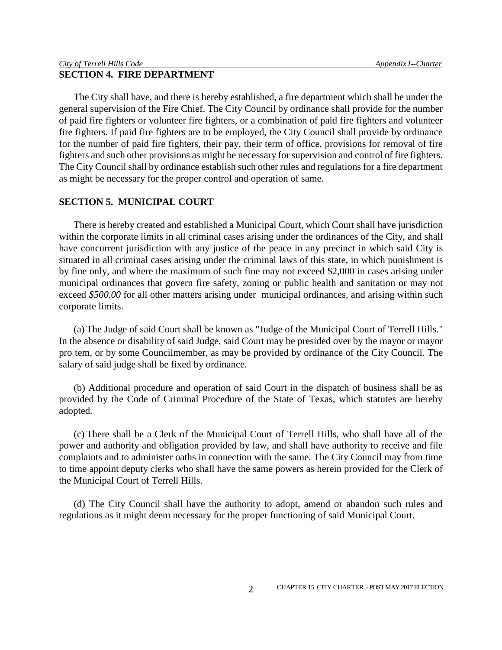The City shall have, and there is hereby established, a fire department which shall be under the general supervision of the Fire Chief. The City Council by ordinance shall provide for the number of paid fire fighters or volunteer fire fighters, or a combination of paid fire fighters and volunteer fire fighters. If paid fire fighters are to be employed, the City Council shall provide by ordinance for the number of paid fire fighters, their pay, their term of office, provisions for removal of fire fighters and such other provisions as might be necessary for supervision and control of fire fighters. The City Council shall by ordinance establish such other rules and regulations for a fire department as might be necessary for the proper control and operation of same.

# **SECTION 5. MUNICIPAL COURT**

There is hereby created and established a Municipal Court, which Court shall have jurisdiction within the corporate limits in all criminal cases arising under the ordinances of the City, and shall have concurrent jurisdiction with any justice of the peace in any precinct in which said City is situated in all criminal cases arising under the criminal laws of this state, in which punishment is by fine only, and where the maximum of such fine may not exceed \$2,000 in cases arising under municipal ordinances that govern fire safety, zoning or public health and sanitation or may not exceed \$500.00 for all other matters arising under municipal ordinances, and arising within such corporate limits.

(a) The Judge of said Court shall be known as "Judge of the Municipal Court of Terrell Hills." In the absence or disability of said Judge, said Court may be presided over by the mayor or mayor pro tem, or by some Councilmember, as may be provided by ordinance of the City Council. The salary of said judge shall be fixed by ordinance.

(b) Additional procedure and operation of said Court in the dispatch of business shall be as provided by the Code of Criminal Procedure of the State of Texas, which statutes are hereby adopted.

(c) There shall be a Clerk of the Municipal Court of Terrell Hills, who shall have all of the power and authority and obligation provided by law, and shall have authority to receive and file complaints and to administer oaths in connection with the same. The City Council may from time to time appoint deputy clerks who shall have the same powers as herein provided for the Clerk of the Municipal Court of Terrell Hills.

(d) The City Council shall have the authority to adopt, amend or abandon such rules and regulations as it might deem necessary for the proper functioning of said Municipal Court.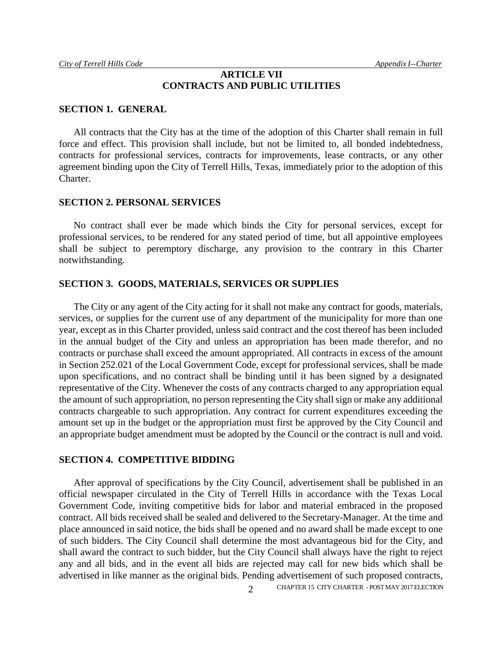# **ARTICLE VII CONTRACTS AND PUBLIC UTILITIES**

#### **SECTION 1. GENERAL**

All contracts that the City has at the time of the adoption of this Charter shall remain in full force and effect. This provision shall include, but not be limited to, all bonded indebtedness, contracts for professional services, contracts for improvements, lease contracts, or any other agreement binding upon the City of Terrell Hills, Texas, immediately prior to the adoption of this Charter.

#### **SECTION 2. PERSONAL SERVICES**

No contract shall ever be made which binds the City for personal services, except for professional services, to be rendered for any stated period of time, but all appointive employees shall be subject to peremptory discharge, any provision to the contrary in this Charter notwithstanding.

#### **SECTION 3. GOODS, MATERIALS, SERVICES OR SUPPLIES**

The City or any agent of the City acting for it shall not make any contract for goods, materials, services, or supplies for the current use of any department of the municipality for more than one year, except as in this Charter provided, unless said contract and the cost thereof has been included in the annual budget of the City and unless an appropriation has been made therefor, and no contracts or purchase shall exceed the amount appropriated. All contracts in excess of the amount in Section 252.021 of the Local Government Code, except for professional services, shall be made upon specifications, and no contract shall be binding until it has been signed by a designated representative of the City. Whenever the costs of any contracts charged to any appropriation equal the amount of such appropriation, no person representing the City shall sign or make any additional contracts chargeable to such appropriation. Any contract for current expenditures exceeding the amount set up in the budget or the appropriation must first be approved by the City Council and an appropriate budget amendment must be adopted by the Council or the contract is null and void.

#### **SECTION 4. COMPETITIVE BIDDING**

After approval of specifications by the City Council, advertisement shall be published in an official newspaper circulated in the City of Terrell Hills in accordance with the Texas Local Government Code, inviting competitive bids for labor and material embraced in the proposed contract. All bids received shall be sealed and delivered to the Secretary-Manager. At the time and place announced in said notice, the bids shall be opened and no award shall be made except to one of such bidders. The City Council shall determine the most advantageous bid for the City, and shall award the contract to such bidder, but the City Council shall always have the right to reject any and all bids, and in the event all bids are rejected may call for new bids which shall be advertised in like manner as the original bids. Pending advertisement of such proposed contracts,

CHAPTER <sup>15</sup> CITY CHARTER - POST MAY 2017 ELECTION 2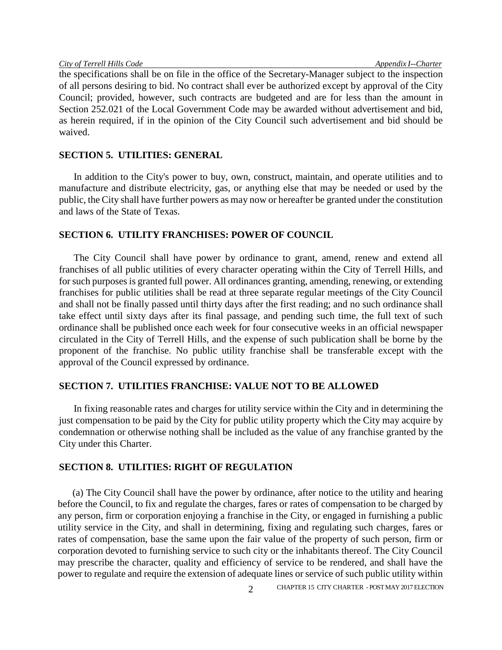the specifications shall be on file in the office of the Secretary-Manager subject to the inspection of all persons desiring to bid. No contract shall ever be authorized except by approval of the City Council; provided, however, such contracts are budgeted and are for less than the amount in Section 252.021 of the Local Government Code may be awarded without advertisement and bid, as herein required, if in the opinion of the City Council such advertisement and bid should be waived.

# **SECTION 5. UTILITIES: GENERAL**

In addition to the City's power to buy, own, construct, maintain, and operate utilities and to manufacture and distribute electricity, gas, or anything else that may be needed or used by the public, the City shall have further powers as may now or hereafter be granted under the constitution and laws of the State of Texas.

## **SECTION 6. UTILITY FRANCHISES: POWER OF COUNCIL**

The City Council shall have power by ordinance to grant, amend, renew and extend all franchises of all public utilities of every character operating within the City of Terrell Hills, and for such purposes is granted full power. All ordinances granting, amending, renewing, or extending franchises for public utilities shall be read at three separate regular meetings of the City Council and shall not be finally passed until thirty days after the first reading; and no such ordinance shall take effect until sixty days after its final passage, and pending such time, the full text of such ordinance shall be published once each week for four consecutive weeks in an official newspaper circulated in the City of Terrell Hills, and the expense of such publication shall be borne by the proponent of the franchise. No public utility franchise shall be transferable except with the approval of the Council expressed by ordinance.

#### **SECTION 7. UTILITIES FRANCHISE: VALUE NOT TO BE ALLOWED**

In fixing reasonable rates and charges for utility service within the City and in determining the just compensation to be paid by the City for public utility property which the City may acquire by condemnation or otherwise nothing shall be included as the value of any franchise granted by the City under this Charter.

# **SECTION 8. UTILITIES: RIGHT OF REGULATION**

(a) The City Council shall have the power by ordinance, after notice to the utility and hearing before the Council, to fix and regulate the charges, fares or rates of compensation to be charged by any person, firm or corporation enjoying a franchise in the City, or engaged in furnishing a public utility service in the City, and shall in determining, fixing and regulating such charges, fares or rates of compensation, base the same upon the fair value of the property of such person, firm or corporation devoted to furnishing service to such city or the inhabitants thereof. The City Council may prescribe the character, quality and efficiency of service to be rendered, and shall have the power to regulate and require the extension of adequate lines or service of such public utility within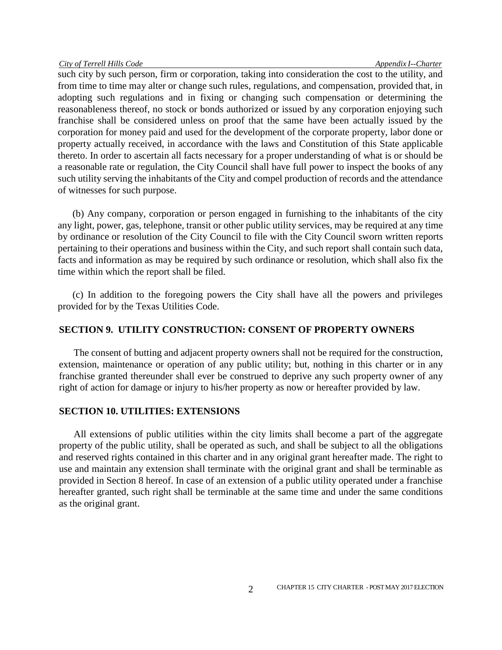such city by such person, firm or corporation, taking into consideration the cost to the utility, and from time to time may alter or change such rules, regulations, and compensation, provided that, in adopting such regulations and in fixing or changing such compensation or determining the reasonableness thereof, no stock or bonds authorized or issued by any corporation enjoying such franchise shall be considered unless on proof that the same have been actually issued by the corporation for money paid and used for the development of the corporate property, labor done or property actually received, in accordance with the laws and Constitution of this State applicable thereto. In order to ascertain all facts necessary for a proper understanding of what is or should be a reasonable rate or regulation, the City Council shall have full power to inspect the books of any such utility serving the inhabitants of the City and compel production of records and the attendance of witnesses for such purpose.

(b) Any company, corporation or person engaged in furnishing to the inhabitants of the city any light, power, gas, telephone, transit or other public utility services, may be required at any time by ordinance or resolution of the City Council to file with the City Council sworn written reports pertaining to their operations and business within the City, and such report shall contain such data, facts and information as may be required by such ordinance or resolution, which shall also fix the time within which the report shall be filed.

(c) In addition to the foregoing powers the City shall have all the powers and privileges provided for by the Texas Utilities Code.

# **SECTION 9. UTILITY CONSTRUCTION: CONSENT OF PROPERTY OWNERS**

The consent of butting and adjacent property owners shall not be required for the construction, extension, maintenance or operation of any public utility; but, nothing in this charter or in any franchise granted thereunder shall ever be construed to deprive any such property owner of any right of action for damage or injury to his/her property as now or hereafter provided by law.

# **SECTION 10. UTILITIES: EXTENSIONS**

All extensions of public utilities within the city limits shall become a part of the aggregate property of the public utility, shall be operated as such, and shall be subject to all the obligations and reserved rights contained in this charter and in any original grant hereafter made. The right to use and maintain any extension shall terminate with the original grant and shall be terminable as provided in Section 8 hereof. In case of an extension of a public utility operated under a franchise hereafter granted, such right shall be terminable at the same time and under the same conditions as the original grant.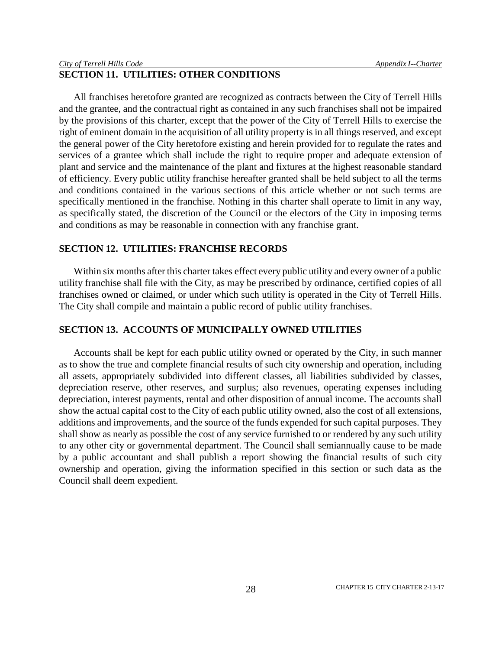# **SECTION 11. UTILITIES: OTHER CONDITIONS**

All franchises heretofore granted are recognized as contracts between the City of Terrell Hills and the grantee, and the contractual right as contained in any such franchises shall not be impaired by the provisions of this charter, except that the power of the City of Terrell Hills to exercise the right of eminent domain in the acquisition of all utility property is in all things reserved, and except the general power of the City heretofore existing and herein provided for to regulate the rates and services of a grantee which shall include the right to require proper and adequate extension of plant and service and the maintenance of the plant and fixtures at the highest reasonable standard of efficiency. Every public utility franchise hereafter granted shall be held subject to all the terms and conditions contained in the various sections of this article whether or not such terms are specifically mentioned in the franchise. Nothing in this charter shall operate to limit in any way, as specifically stated, the discretion of the Council or the electors of the City in imposing terms and conditions as may be reasonable in connection with any franchise grant.

# **SECTION 12. UTILITIES: FRANCHISE RECORDS**

Within six months after this charter takes effect every public utility and every owner of a public utility franchise shall file with the City, as may be prescribed by ordinance, certified copies of all franchises owned or claimed, or under which such utility is operated in the City of Terrell Hills. The City shall compile and maintain a public record of public utility franchises.

# **SECTION 13. ACCOUNTS OF MUNICIPALLY OWNED UTILITIES**

Accounts shall be kept for each public utility owned or operated by the City, in such manner as to show the true and complete financial results of such city ownership and operation, including all assets, appropriately subdivided into different classes, all liabilities subdivided by classes, depreciation reserve, other reserves, and surplus; also revenues, operating expenses including depreciation, interest payments, rental and other disposition of annual income. The accounts shall show the actual capital cost to the City of each public utility owned, also the cost of all extensions, additions and improvements, and the source of the funds expended for such capital purposes. They shall show as nearly as possible the cost of any service furnished to or rendered by any such utility to any other city or governmental department. The Council shall semiannually cause to be made by a public accountant and shall publish a report showing the financial results of such city ownership and operation, giving the information specified in this section or such data as the Council shall deem expedient.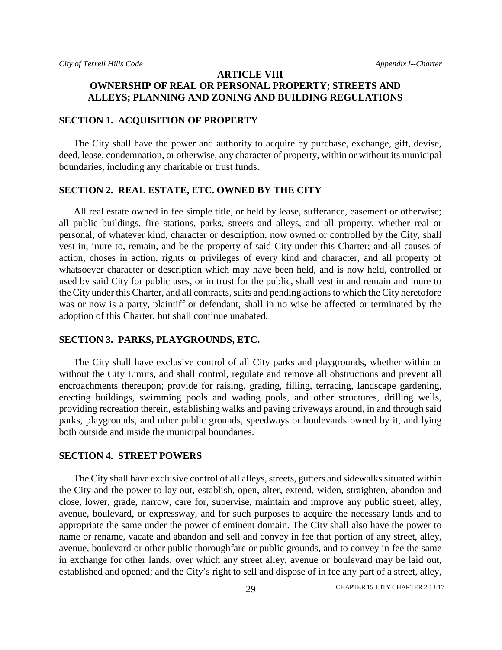# **ARTICLE VIII OWNERSHIP OF REAL OR PERSONAL PROPERTY; STREETS AND ALLEYS; PLANNING AND ZONING AND BUILDING REGULATIONS**

#### **SECTION 1. ACQUISITION OF PROPERTY**

The City shall have the power and authority to acquire by purchase, exchange, gift, devise, deed, lease, condemnation, or otherwise, any character of property, within or without its municipal boundaries, including any charitable or trust funds.

# **SECTION 2. REAL ESTATE, ETC. OWNED BY THE CITY**

All real estate owned in fee simple title, or held by lease, sufferance, easement or otherwise; all public buildings, fire stations, parks, streets and alleys, and all property, whether real or personal, of whatever kind, character or description, now owned or controlled by the City, shall vest in, inure to, remain, and be the property of said City under this Charter; and all causes of action, choses in action, rights or privileges of every kind and character, and all property of whatsoever character or description which may have been held, and is now held, controlled or used by said City for public uses, or in trust for the public, shall vest in and remain and inure to the City under this Charter, and all contracts, suits and pending actions to which the City heretofore was or now is a party, plaintiff or defendant, shall in no wise be affected or terminated by the adoption of this Charter, but shall continue unabated.

#### **SECTION 3. PARKS, PLAYGROUNDS, ETC.**

The City shall have exclusive control of all City parks and playgrounds, whether within or without the City Limits, and shall control, regulate and remove all obstructions and prevent all encroachments thereupon; provide for raising, grading, filling, terracing, landscape gardening, erecting buildings, swimming pools and wading pools, and other structures, drilling wells, providing recreation therein, establishing walks and paving driveways around, in and through said parks, playgrounds, and other public grounds, speedways or boulevards owned by it, and lying both outside and inside the municipal boundaries.

#### **SECTION 4. STREET POWERS**

The City shall have exclusive control of all alleys, streets, gutters and sidewalks situated within the City and the power to lay out, establish, open, alter, extend, widen, straighten, abandon and close, lower, grade, narrow, care for, supervise, maintain and improve any public street, alley, avenue, boulevard, or expressway, and for such purposes to acquire the necessary lands and to appropriate the same under the power of eminent domain. The City shall also have the power to name or rename, vacate and abandon and sell and convey in fee that portion of any street, alley, avenue, boulevard or other public thoroughfare or public grounds, and to convey in fee the same in exchange for other lands, over which any street alley, avenue or boulevard may be laid out, established and opened; and the City's right to sell and dispose of in fee any part of a street, alley,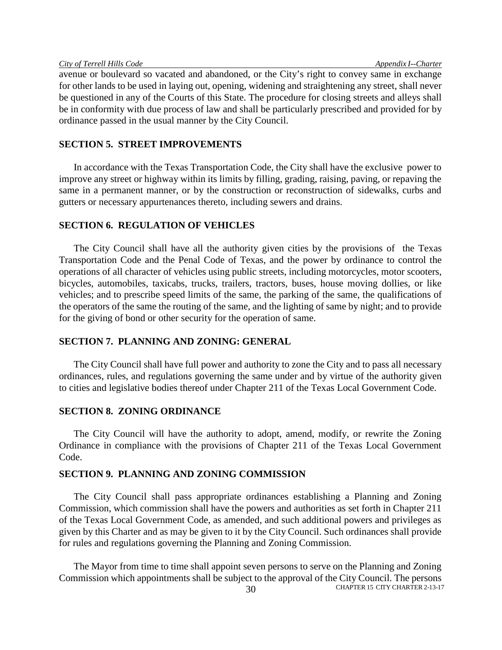avenue or boulevard so vacated and abandoned, or the City's right to convey same in exchange for other lands to be used in laying out, opening, widening and straightening any street, shall never be questioned in any of the Courts of this State. The procedure for closing streets and alleys shall be in conformity with due process of law and shall be particularly prescribed and provided for by ordinance passed in the usual manner by the City Council.

## **SECTION 5. STREET IMPROVEMENTS**

In accordance with the Texas Transportation Code, the City shall have the exclusive power to improve any street or highway within its limits by filling, grading, raising, paving, or repaving the same in a permanent manner, or by the construction or reconstruction of sidewalks, curbs and gutters or necessary appurtenances thereto, including sewers and drains.

# **SECTION 6. REGULATION OF VEHICLES**

The City Council shall have all the authority given cities by the provisions of the Texas Transportation Code and the Penal Code of Texas, and the power by ordinance to control the operations of all character of vehicles using public streets, including motorcycles, motor scooters, bicycles, automobiles, taxicabs, trucks, trailers, tractors, buses, house moving dollies, or like vehicles; and to prescribe speed limits of the same, the parking of the same, the qualifications of the operators of the same the routing of the same, and the lighting of same by night; and to provide for the giving of bond or other security for the operation of same.

#### **SECTION 7. PLANNING AND ZONING: GENERAL**

The City Council shall have full power and authority to zone the City and to pass all necessary ordinances, rules, and regulations governing the same under and by virtue of the authority given to cities and legislative bodies thereof under Chapter 211 of the Texas Local Government Code.

# **SECTION 8. ZONING ORDINANCE**

The City Council will have the authority to adopt, amend, modify, or rewrite the Zoning Ordinance in compliance with the provisions of Chapter 211 of the Texas Local Government Code.

# **SECTION 9. PLANNING AND ZONING COMMISSION**

The City Council shall pass appropriate ordinances establishing a Planning and Zoning Commission, which commission shall have the powers and authorities as set forth in Chapter 211 of the Texas Local Government Code, as amended, and such additional powers and privileges as given by this Charter and as may be given to it by the City Council. Such ordinances shall provide for rules and regulations governing the Planning and Zoning Commission.

30 CHAPTER 15 CITY CHARTER 2-13-17 The Mayor from time to time shall appoint seven persons to serve on the Planning and Zoning Commission which appointments shall be subject to the approval of the City Council. The persons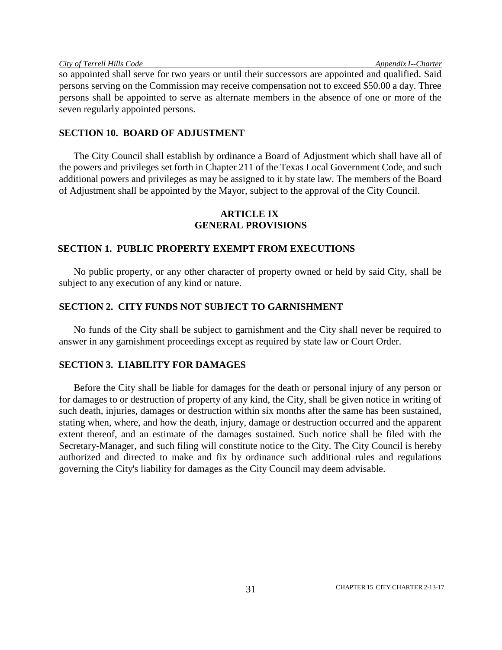so appointed shall serve for two years or until their successors are appointed and qualified. Said persons serving on the Commission may receive compensation not to exceed \$50.00 a day. Three persons shall be appointed to serve as alternate members in the absence of one or more of the seven regularly appointed persons.

## **SECTION 10. BOARD OF ADJUSTMENT**

The City Council shall establish by ordinance a Board of Adjustment which shall have all of the powers and privileges set forth in Chapter 211 of the Texas Local Government Code, and such additional powers and privileges as may be assigned to it by state law. The members of the Board of Adjustment shall be appointed by the Mayor, subject to the approval of the City Council.

# **ARTICLE IX GENERAL PROVISIONS**

# **SECTION 1. PUBLIC PROPERTY EXEMPT FROM EXECUTIONS**

No public property, or any other character of property owned or held by said City, shall be subject to any execution of any kind or nature.

# **SECTION 2. CITY FUNDS NOT SUBJECT TO GARNISHMENT**

No funds of the City shall be subject to garnishment and the City shall never be required to answer in any garnishment proceedings except as required by state law or Court Order.

## **SECTION 3. LIABILITY FOR DAMAGES**

Before the City shall be liable for damages for the death or personal injury of any person or for damages to or destruction of property of any kind, the City, shall be given notice in writing of such death, injuries, damages or destruction within six months after the same has been sustained, stating when, where, and how the death, injury, damage or destruction occurred and the apparent extent thereof, and an estimate of the damages sustained. Such notice shall be filed with the Secretary-Manager, and such filing will constitute notice to the City. The City Council is hereby authorized and directed to make and fix by ordinance such additional rules and regulations governing the City's liability for damages as the City Council may deem advisable.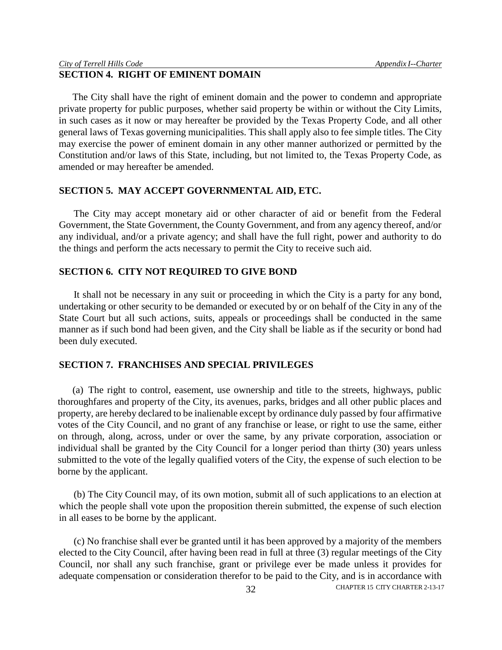# **SECTION 4. RIGHT OF EMINENT DOMAIN**

The City shall have the right of eminent domain and the power to condemn and appropriate private property for public purposes, whether said property be within or without the City Limits, in such cases as it now or may hereafter be provided by the Texas Property Code, and all other general laws of Texas governing municipalities. This shall apply also to fee simple titles. The City may exercise the power of eminent domain in any other manner authorized or permitted by the Constitution and/or laws of this State, including, but not limited to, the Texas Property Code, as amended or may hereafter be amended.

## **SECTION 5. MAY ACCEPT GOVERNMENTAL AID, ETC.**

The City may accept monetary aid or other character of aid or benefit from the Federal Government, the State Government, the County Government, and from any agency thereof, and/or any individual, and/or a private agency; and shall have the full right, power and authority to do the things and perform the acts necessary to permit the City to receive such aid.

## **SECTION 6. CITY NOT REQUIRED TO GIVE BOND**

It shall not be necessary in any suit or proceeding in which the City is a party for any bond, undertaking or other security to be demanded or executed by or on behalf of the City in any of the State Court but all such actions, suits, appeals or proceedings shall be conducted in the same manner as if such bond had been given, and the City shall be liable as if the security or bond had been duly executed.

#### **SECTION 7. FRANCHISES AND SPECIAL PRIVILEGES**

(a) The right to control, easement, use ownership and title to the streets, highways, public thoroughfares and property of the City, its avenues, parks, bridges and all other public places and property, are hereby declared to be inalienable except by ordinance duly passed by four affirmative votes of the City Council, and no grant of any franchise or lease, or right to use the same, either on through, along, across, under or over the same, by any private corporation, association or individual shall be granted by the City Council for a longer period than thirty (30) years unless submitted to the vote of the legally qualified voters of the City, the expense of such election to be borne by the applicant.

(b) The City Council may, of its own motion, submit all of such applications to an election at which the people shall vote upon the proposition therein submitted, the expense of such election in all eases to be borne by the applicant.

S2 CHAPTER 15 CITY CHARTER 2-13-17 (c) No franchise shall ever be granted until it has been approved by a majority of the members elected to the City Council, after having been read in full at three (3) regular meetings of the City Council, nor shall any such franchise, grant or privilege ever be made unless it provides for adequate compensation or consideration therefor to be paid to the City, and is in accordance with